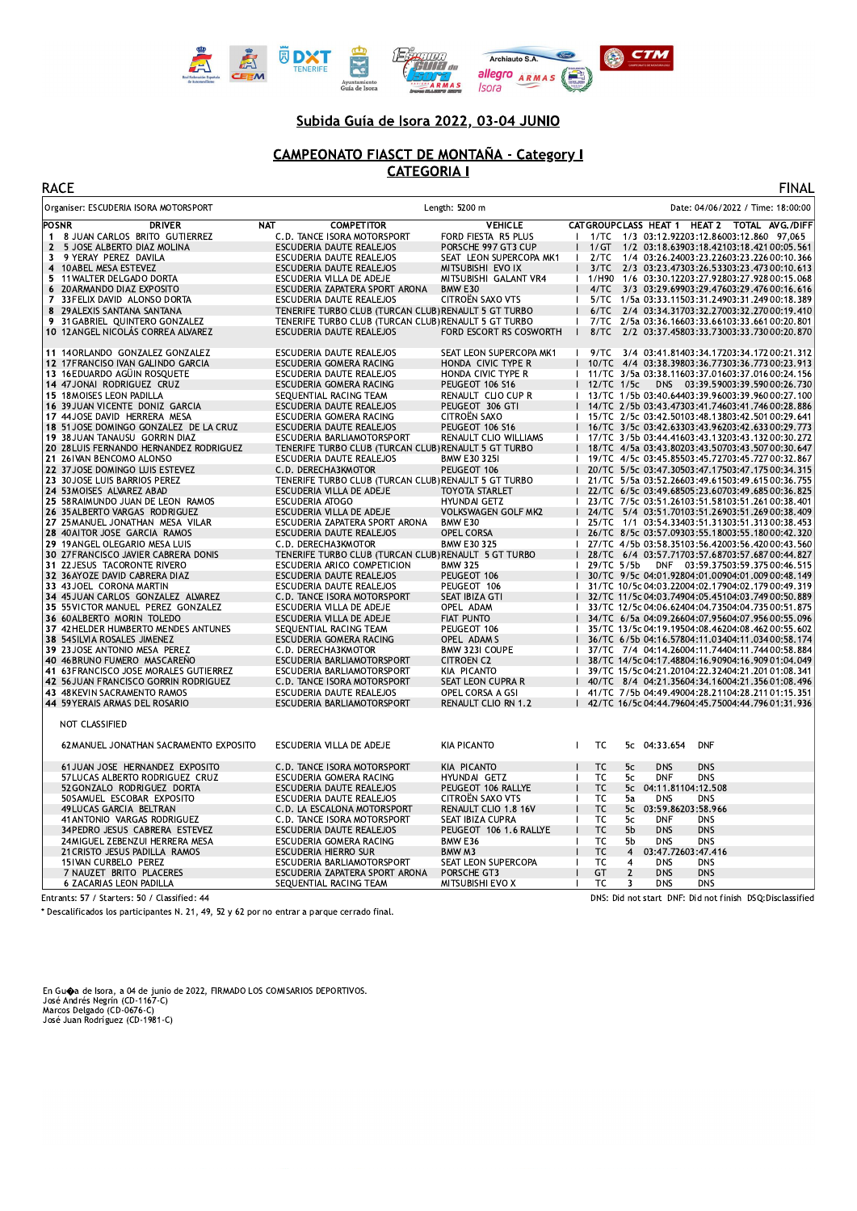

### Subida Guía de Isora 2022, 03-04 JUNIO

#### **CAMPEONATO FIASCT DE MONTAÑA - Category I CATEGORIA I**

| <b>RACE</b>                                |                                                      |                            | <b>FINAL</b>                                                     |
|--------------------------------------------|------------------------------------------------------|----------------------------|------------------------------------------------------------------|
| Organiser: ESCUDERIA ISORA MOTORSPORT      |                                                      | Length: 5200 m             | Date: 04/06/2022 / Time: 18:00:00                                |
| <b>POSNR</b><br><b>DRIVER</b>              | <b>NAT</b><br><b>COMPETITOR</b>                      | <b>VEHICLE</b>             | CATGROUPCLASS HEAT 1 HEAT 2 TOTAL AVG./DIFF                      |
| 1 8 JUAN CARLOS BRITO GUTIERREZ            | C.D. TANCE ISORA MOTORSPORT                          | FORD FIESTA R5 PLUS        | 1/TC 1/3 03:12.92203:12.86003:12.860 97,065                      |
| 5 JOSE ALBERTO DIAZ MOLINA<br>$\mathbf{2}$ | <b>ESCUDERIA DAUTE REALEJOS</b>                      | PORSCHE 997 GT3 CUP        | 1/2 03:18.63903:18.42103:18.421 00:05.561<br>1/GT                |
| 9 YERAY PEREZ DAVILA<br>3                  | <b>ESCUDERIA DAUTE REALEJOS</b>                      | SEAT LEON SUPERCOPA MK1    | 2/TC<br>1/4 03:26.24003:23.22603:23.226 00:10.366                |
| 4 10 ABEL MESA ESTEVEZ                     | <b>ESCUDERIA DAUTE REALEJOS</b>                      | MITSUBISHI EVO IX          | 2/3 03:23.47303:26.53303:23.473 00:10.613<br>3/TC                |
| 5<br>11 WALTER DELGADO DORTA               | ESCUDERIA VILLA DE ADEJE                             | MITSUBISHI GALANT VR4      | 1/H90<br>1/6 03:30.12203:27.92803:27.92800:15.068                |
| 20 ARMANDO DIAZ EXPOSITO<br>6              | ESCUDERIA ZAPATERA SPORT ARONA                       | BMW E30                    | 4/TC<br>3/3 03:29.69903:29.47603:29.47600:16.616                 |
| 33 FELIX DAVID ALONSO DORTA<br>7           | <b>ESCUDERIA DAUTE REALEJOS</b>                      | CITROËN SAXO VTS           | 5/TC 1/5a 03:33.11503:31.24903:31.249 00:18.389                  |
| 8<br>29 ALEXIS SANTANA SANTANA             | TENERIFE TURBO CLUB (TURCAN CLUB) RENAULT 5 GT TURBO |                            | 2/4 03:34.31703:32.27003:32.27000:19.410<br>6/TC                 |
| 9<br>31 GABRIEL QUINTERO GONZALEZ          | TENERIFE TURBO CLUB (TURCAN CLUB) RENAULT 5 GT TURBO |                            | 2/5a 03:36.16603:33.66103:33.66100:20.801<br>7/TC                |
| 10 12 ANGEL NICOLÁS CORREA ALVAREZ         | <b>ESCUDERIA DAUTE REALEJOS</b>                      | FORD ESCORT RS COSWORTH    | 8/TC<br>2/2 03:37.45803:33.73003:33.73000:20.870<br>$\mathsf{I}$ |
| 11 14 ORLANDO GONZALEZ GONZALEZ            | <b>ESCUDERIA DAUTE REALEJOS</b>                      | SEAT LEON SUPERCOPA MK1    | 9/TC 3/4 03:41.81403:34.17203:34.172 00:21.312<br>$\mathbf{I}$   |
| 12 17 FRANCISO IVAN GALINDO GARCIA         | ESCUDERIA GOMERA RACING                              | HONDA CIVIC TYPE R         | 10/TC 4/4 03:38.39803:36.77303:36.77300:23.913                   |
| 13 16 EDUARDO AGUIN ROSQUETE               | ESCUDERIA DAUTE REALEJOS                             | HONDA CIVIC TYPE R         | 11/TC 3/5a 03:38.11603:37.01603:37.016 00:24.156                 |
| 14 47 JONAI RODRIGUEZ CRUZ                 | ESCUDERIA GOMERA RACING                              | PEUGEOT 106 S16            | DNS 03:39.59003:39.590 00:26.730<br>12/TC 1/5c                   |
| 15 18 MOISES LEON PADILLA                  | SEOUENTIAL RACING TEAM                               | RENAULT CLIO CUP R         | 13/TC 1/5b 03:40.64403:39.96003:39.96000:27.100                  |
| 16 39 JUAN VICENTE DONIZ GARCIA            | <b>ESCUDERIA DAUTE REALEJOS</b>                      | PEUGEOT 306 GTI            | 14/TC 2/5b 03:43.47303:41.74603:41.746 00:28.886                 |
| 17 44 JOSE DAVID HERRERA MESA              | ESCUDERIA GOMERA RACING                              | CITROËN SAXO               | 15/TC 2/5c 03:42.50103:48.13803:42.501 00:29.641                 |
| 18 51 JOSE DOMINGO GONZALEZ DE LA CRUZ     | ESCUDERIA DAUTE REALEJOS                             | PEUGEOT 106 S16            | 16/TC 3/5c 03:42.63303:43.96203:42.63300:29.773                  |
| 19 38 JUAN TANAUSU GORRIN DIAZ             | ESCUDERIA BARLIAMOTORSPORT                           | RENAULT CLIO WILLIAMS      | 17/TC 3/5b 03:44.41603:43.13203:43.13200:30.272                  |
| 20 28 LUIS FERNANDO HERNANDEZ RODRIGUEZ    | TENERIFE TURBO CLUB (TURCAN CLUB) RENAULT 5 GT TURBO |                            | 18/TC 4/5a 03:43.80203:43.50703:43.507 00:30.647                 |
| 21 26 IVAN BENCOMO ALONSO                  | ESCUDERIA DAUTE REALEJOS                             | <b>BMW E30 3251</b>        | 19/TC 4/5c 03:45.85503:45.72703:45.727 00:32.867                 |
| 22 37 JOSE DOMINGO LUIS ESTEVEZ            | C.D. DERECHA3KMOTOR                                  | PEUGEOT 106                | 20/TC 5/5c 03:47.30503:47.17503:47.17500:34.315                  |
| 23 30 JOSE LUIS BARRIOS PEREZ              | TENERIFE TURBO CLUB (TURCAN CLUB) RENAULT 5 GT TURBO |                            | 21/TC 5/5a 03:52.26603:49.61503:49.61500:36.755                  |
| 24 53 MOISES ALVAREZ ABAD                  | ESCUDERIA VILLA DE ADEJE                             | <b>TOYOTA STARLET</b>      | 22/TC 6/5c 03:49.68505:23.60703:49.68500:36.825                  |
| 25 58 RAIMUNDO JUAN DE LEON RAMOS          | <b>ESCUDERIA ATOGO</b>                               | <b>HYUNDAI GETZ</b>        | 23/TC 7/5c 03:51.26103:51.58103:51.261 00:38.401                 |
| 26 35 ALBERTO VARGAS RODRIGUEZ             | ESCUDERIA VILLA DE ADEJE                             | <b>VOLKSWAGEN GOLF MK2</b> | 24/TC 5/4 03:51.70103:51.26903:51.26900:38.409                   |
| 27 25 MANUEL JONATHAN MESA VILAR           | ESCUDERIA ZAPATERA SPORT ARONA                       | BMW E30                    | 25/TC 1/1 03:54.33403:51.31303:51.31300:38.453                   |
| 28 40 AITOR JOSE GARCIA RAMOS              | <b>ESCUDERIA DAUTE REALEJOS</b>                      | <b>OPEL CORSA</b>          | 26/TC 8/5c 03:57.09303:55.18003:55.18000:42.320                  |
| 29 19 ANGEL OLEGARIO MESA LUIS             | C.D. DERECHA3KMOTOR                                  | <b>BMW E30 325</b>         | 27/TC 4/5b 03:58.35103:56.42003:56.420 00:43.560                 |
| 30 27 FRANCISCO JAVIER CABRERA DONIS       | TENERIFE TURBO CLUB (TURCAN CLUB) RENAULT 5 GT TURBO |                            | 28/TC 6/4 03:57.71703:57.68703:57.68700:44.827                   |
| 31 22 JESUS TACORONTE RIVERO               | ESCUDERIA ARICO COMPETICION                          | <b>BMW 325</b>             | 29/TC 5/5b<br>DNF 03:59.37503:59.37500:46.515                    |
| 32 36 AYOZE DAVID CABRERA DIAZ             | <b>ESCUDERIA DAUTE REALEJOS</b>                      | PEUGEOT 106                | 30/TC 9/5c 04:01.92804:01.00904:01.009 00:48.149                 |
| 33 43 JOEL CORONA MARTIN                   | ESCUDERIA DAUTE REALEJOS                             | PEUGEOT 106                | 31/TC 10/5c 04:03.22004:02.17904:02.179 00:49.319                |
| 34 45 JUAN CARLOS GONZALEZ ALVAREZ         | C.D. TANCE ISORA MOTORSPORT                          | SEAT IBIZA GTI             | 32/TC 11/5c 04:03.74904:05.45104:03.749 00:50.889                |
| 35 55 VICTOR MANUEL PEREZ GONZALEZ         | ESCUDERIA VILLA DE ADEJE                             | OPEL ADAM                  | 33/TC 12/5c 04:06.62404:04.73504:04.735 00:51.875                |
| 36 60 ALBERTO MORIN TOLEDO                 | ESCUDERIA VILLA DE ADEJE                             | <b>FIAT PUNTO</b>          | 34/TC 6/5a 04:09.26604:07.95604:07.956 00:55.096                 |
| 37 42 HELDER HUMBERTO MENDES ANTUNES       | SEQUENTIAL RACING TEAM                               | PEUGEOT 106                | 35/TC 13/5c 04:19.19504:08.46204:08.462 00:55.602                |
| 38 54 SILVIA ROSALES JIMENEZ               | ESCUDERIA GOMERA RACING                              | OPEL ADAM S                | 36/TC 6/5b 04:16.57804:11.03404:11.03400:58.174                  |
| 39 23 JOSE ANTONIO MESA PEREZ              | C.D. DERECHA3KMOTOR                                  | BMW 323I COUPE             | 37/TC 7/4 04:14.26004:11.74404:11.744 00:58.884                  |
| 40 46 BRUNO FUMERO MASCAREÑO               | <b>ESCUDERIA BARLIAMOTORSPORT</b>                    | <b>CITROEN C2</b>          | 38/TC 14/5c 04:17.48804:16.90904:16.909 01:04.049                |
| 41 63 FRANCISCO JOSE MORALES GUTIERREZ     | ESCUDERIA BARLIAMOTORSPORT                           | KIA PICANTO                | 39/TC 15/5c 04:21.20104:22.32404:21.201 01:08.341                |
| 42 56 JUAN FRANCISCO GORRIN RODRIGUEZ      | C.D. TANCE ISORA MOTORSPORT                          | SEAT LEON CUPRA R          | 40/TC 8/4 04:21.35604:34.16004:21.356 01:08.496                  |
| 43 48 KEVIN SACRAMENTO RAMOS               | ESCUDERIA DAUTE REALEJOS                             | OPEL CORSA A GSI           | 41/TC 7/5b 04:49.49004:28.21104:28.211 01:15.351                 |
| 44 59 YERAIS ARMAS DEL ROSARIO             | ESCUDERIA BARLIAMOTORSPORT                           | <b>RENAULT CLIO RN 1.2</b> | 42/TC 16/5c 04:44.79604:45.75004:44.796 01:31.936                |
| NOT CLASSIFIED                             |                                                      |                            |                                                                  |
| 62 MANUEL JONATHAN SACRAMENTO EXPOSITO     | ESCUDERIA VILLA DE ADEJE                             | <b>KIA PICANTO</b>         | TC<br>5c 04:33.654<br><b>DNF</b>                                 |
| 61 JUAN JOSE HERNANDEZ EXPOSITO            | C.D. TANCE ISORA MOTORSPORT                          | KIA PICANTO                | <b>DNS</b><br>TC<br><b>DNS</b><br>5c                             |
| 57 LUCAS ALBERTO RODRIGUEZ CRUZ            | ESCUDERIA GOMERA RACING                              | HYUNDAI GETZ               | ТC<br><b>DNF</b><br><b>DNS</b><br>5c                             |
| 52 GONZALO RODRIGUEZ DORTA                 | ESCUDERIA DAUTE REALEJOS                             | PEUGEOT 106 RALLYE         | <b>TC</b><br>04:11.81104:12.508<br>5c                            |
| 50 SAMUEL ESCOBAR EXPOSITO                 | <b>ESCUDERIA DAUTE REALEJOS</b>                      | CITROËN SAXO VTS           | тc<br>5a<br><b>DNS</b><br><b>DNS</b>                             |
| 49 LUCAS GARCIA BELTRAN                    | C.D. LA ESCALONA MOTORSPORT                          | RENAULT CLIO 1.8 16V       | <b>TC</b><br>5c<br>03:59.86203:58.966                            |
| 41 ANTONIO VARGAS RODRIGUEZ                | C.D. TANCE ISORA MOTORSPORT                          | SEAT IBIZA CUPRA           | <b>TC</b><br>5c<br><b>DNF</b><br><b>DNS</b>                      |
| 34 PEDRO JESUS CABRERA ESTEVEZ             | <b>ESCUDERIA DAUTE REALEJOS</b>                      | PEUGEOT 106 1.6 RALLYE     | TC<br><b>DNS</b><br>5b<br><b>DNS</b>                             |
| 24 MIGUEL ZEBENZUI HERRERA MESA            | ESCUDERIA GOMERA RACING                              | BMW E36                    | <b>TC</b><br>5 <sub>b</sub><br><b>DNS</b><br><b>DNS</b>          |
| 21 CRISTO JESUS PADILLA RAMOS              | <b>ESCUDERIA HIERRO SUR</b>                          | BMW M3                     | TC<br>$\overline{4}$<br>03:47.72603:47.416                       |
| 15 IVAN CURBELO PEREZ                      | ESCUDERIA BARLIAMOTORSPORT                           | SEAT LEON SUPERCOPA        | TC<br>4<br><b>DNS</b><br><b>DNS</b>                              |
| 7 NAUZET BRITO PLACERES                    | ESCUDERIA ZAPATERA SPORT ARONA                       | PORSCHE GT3                | GT<br>$\overline{2}$<br><b>DNS</b><br><b>DNS</b>                 |
| 6 ZACARIAS LEON PADILLA                    | SEQUENTIAL RACING TEAM                               | MITSUBISHI EVO X           | 3<br>тc<br><b>DNS</b><br><b>DNS</b>                              |

Entrants: 57 / Starters: 50 / Classified: 44

\* Descalificados los participantes N. 21, 49, 52 y 62 por no entrar a parque cerrado final.

DNS: Did not start DNF: Did not finish DSQ: Disclassified

 $CTN$ 

En Gu�a de Isora, a 04 de junio de 2022, FIRMADO LOS COMISARIOS DEPORTIVOS.<br>José Andrés Negrín (CD-1167-C)<br>Marcos Delgado (CD-0676-C)<br>José Juan Rodríguez (CD-1981-C)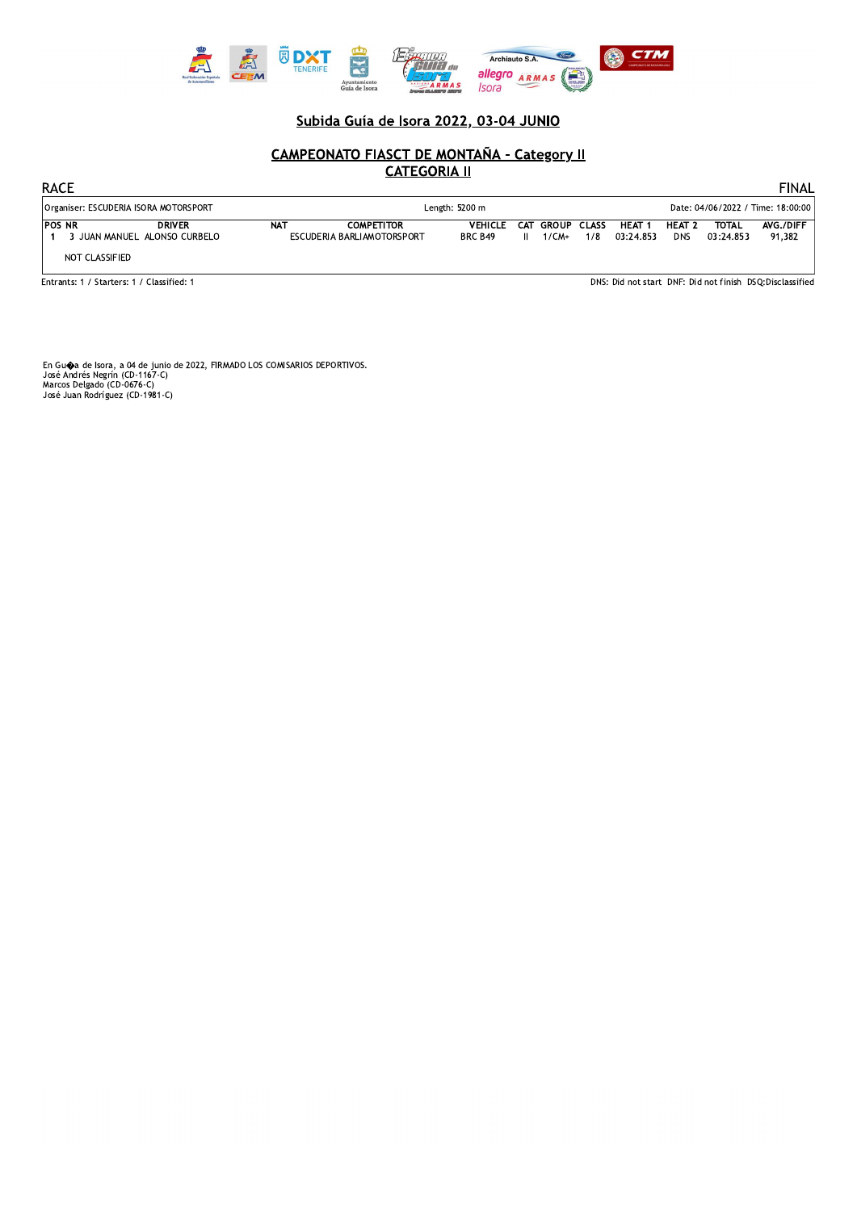

## <u>Subida Guia de Isora 2022, 03-04 JUNIO</u>

#### <u> CAMPEONATO FIASCI DE MONTANA - Category II</u> **CATEGORIA II**

| <b>CAMPEONATO FIASCT DE MONTAÑA - Category II</b><br><b>CATEGORIA II</b><br><b>RACE</b><br>Organiser: ESCUDERIA ISORA MOTORSPORT<br>Length: 5200 m<br>Date: 04/06/2022 / Time: 18:00:00<br><b>POS NR</b><br><b>DRIVER</b><br><b>NAT</b><br><b>COMPETITOR</b><br><b>VEHICLE</b><br>HEAT <sub>2</sub><br><b>TOTAL</b><br><b>CLASS</b><br>HEAT 1<br>CAT GROUP<br>03:24.853<br>3 JUAN MANUEL ALONSO CURBELO<br><b>BRC B49</b><br>1/8<br>03:24.853<br><b>DNS</b><br>ESCUDERIA BARLIAMOTORSPORT<br>$II$ 1/CM+ | <b>CEEM</b><br>Real Federación Español<br>de Automovilismo | $\overline{\mathbf{X}}$<br>Ayuntamiento<br><b>EXTERNA R M A S</b><br>Guía de Isora<br>Subida Guía de Isora 2022, 03-04 JUNIO | allegro ARMAS<br><i>Isora</i> |                     |
|---------------------------------------------------------------------------------------------------------------------------------------------------------------------------------------------------------------------------------------------------------------------------------------------------------------------------------------------------------------------------------------------------------------------------------------------------------------------------------------------------------|------------------------------------------------------------|------------------------------------------------------------------------------------------------------------------------------|-------------------------------|---------------------|
|                                                                                                                                                                                                                                                                                                                                                                                                                                                                                                         |                                                            |                                                                                                                              |                               | <b>FINAL</b>        |
|                                                                                                                                                                                                                                                                                                                                                                                                                                                                                                         |                                                            |                                                                                                                              |                               |                     |
| NOT CLASSIFIED                                                                                                                                                                                                                                                                                                                                                                                                                                                                                          |                                                            |                                                                                                                              |                               | AVG./DIFF<br>91,382 |

En Gu�a de Isora, a 04 de junio de 2022, FIRMADO LOS COMISARIOS DEPORTIVOS.<br>José Andrés Negrín (CD-1167-C)<br>José Andrés Negrín (CD-0676-C)<br>José Juan Rodríguez (CD-1981-C) Marcos Delgado (CD-0676-C)<br>José Juan Rodríguez (CD-1981-C)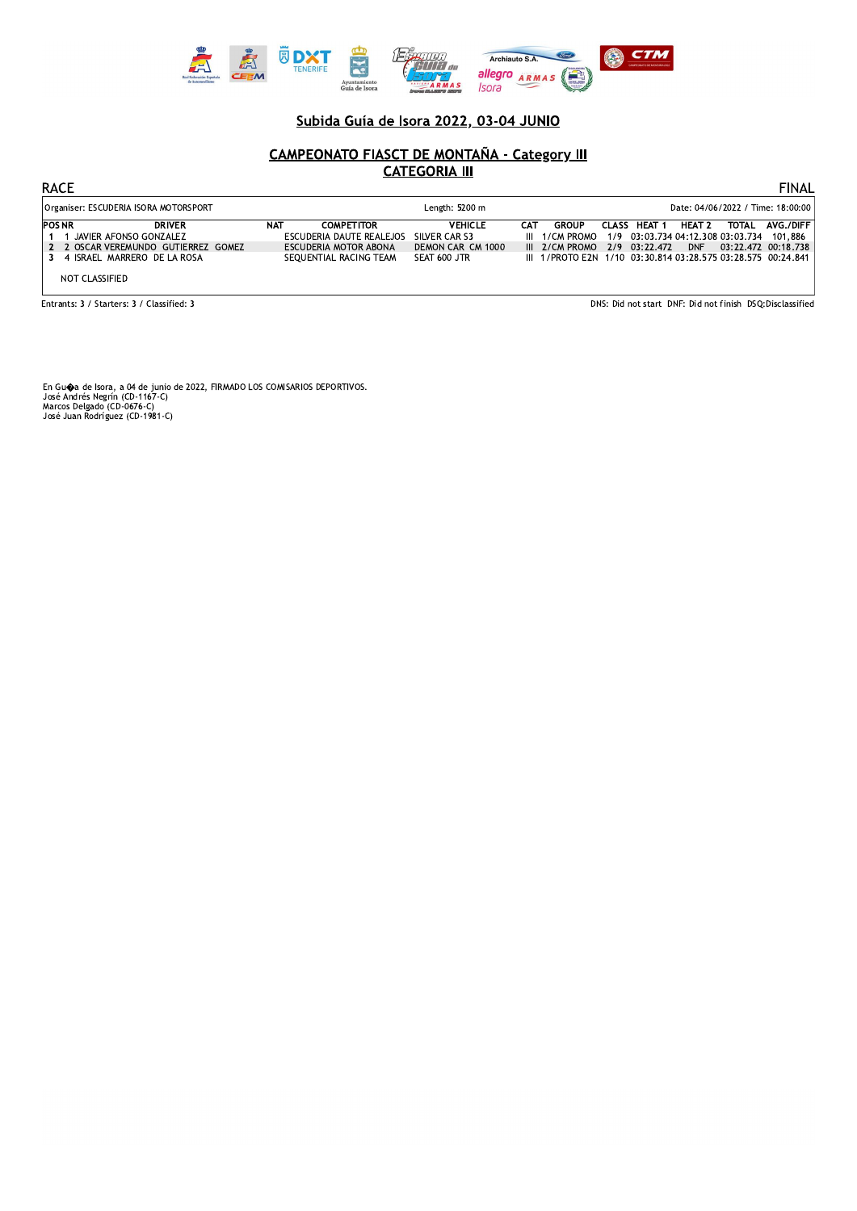

## <u>Subida Guia de Isora 2022, 03-04 JUNIO</u>

#### <u> CAMPEONATO FIASCT DE MONTANA - Category III</u> **CATEGORIA III**

| Real Federación Española<br>de Automovilismo                                                                                                       | Ayuntamiento<br>Guía de Isora<br>Subida Guía de Isora 2022, 03-04 JUNIO                                        | <b><i>WELL'ARMAS</i></b><br><i>Isora</i>                             | allegro ARMAS                                                  |                                   |                                                                                                                              |                                         |
|----------------------------------------------------------------------------------------------------------------------------------------------------|----------------------------------------------------------------------------------------------------------------|----------------------------------------------------------------------|----------------------------------------------------------------|-----------------------------------|------------------------------------------------------------------------------------------------------------------------------|-----------------------------------------|
|                                                                                                                                                    | <b>CAMPEONATO FIASCT DE MONTAÑA - Category III</b>                                                             | <b>CATEGORIA III</b>                                                 |                                                                |                                   |                                                                                                                              |                                         |
| <b>RACE</b>                                                                                                                                        |                                                                                                                |                                                                      |                                                                |                                   |                                                                                                                              | <b>FINAL</b>                            |
| Organiser: ESCUDERIA ISORA MOTORSPORT                                                                                                              |                                                                                                                | Length: 5200 m                                                       |                                                                |                                   | Date: 04/06/2022 / Time: 18:00:00                                                                                            |                                         |
| <b>POSNR</b><br><b>DRIVER</b><br>JAVIER AFONSO GONZALEZ<br>2 OSCAR VEREMUNDO GUTIERREZ GOMEZ<br>4 ISRAEL MARRERO DE LA ROSA<br>3<br>NOT CLASSIFIED | <b>COMPETITOR</b><br><b>NAT</b><br>ESCUDERIA DAUTE REALEJOS<br>ESCUDERIA MOTOR ABONA<br>SEQUENTIAL RACING TEAM | <b>VEHICLE</b><br>SILVER CAR S3<br>DEMON CAR CM 1000<br>SEAT 600 JTR | <b>GROUP</b><br><b>CAT</b><br>III 1/CM PROMO<br>III 2/CM PROMO | CLASS HEAT 1<br>2/9 03:22.472 DNF | HEAT 2<br>TOTAL<br>1/9 03:03.734 04:12.308 03:03.734 101,886<br>III 1/PROTO E2N 1/10 03:30.814 03:28.575 03:28.575 00:24.841 | <b>AVG./DIFF</b><br>03:22.472 00:18.738 |
| Entrants: 3 / Starters: 3 / Classified: 3                                                                                                          |                                                                                                                |                                                                      |                                                                |                                   | DNS: Did not start DNF: Did not finish DSQ:Disclassified                                                                     |                                         |

En Gu�a de Isora, a 04 de junio de 2022, FIRMADO LOS COMISARIOS DEPORTIVOS.<br>José Andrés Negrín (CD-1167-C)<br>José Andrés Negrín (CD-0676-C)<br>José Juan Rodríguez (CD-1981-C) Marcos Delgado (CD-0676-C)<br>José Juan Rodríguez (CD-1981-C)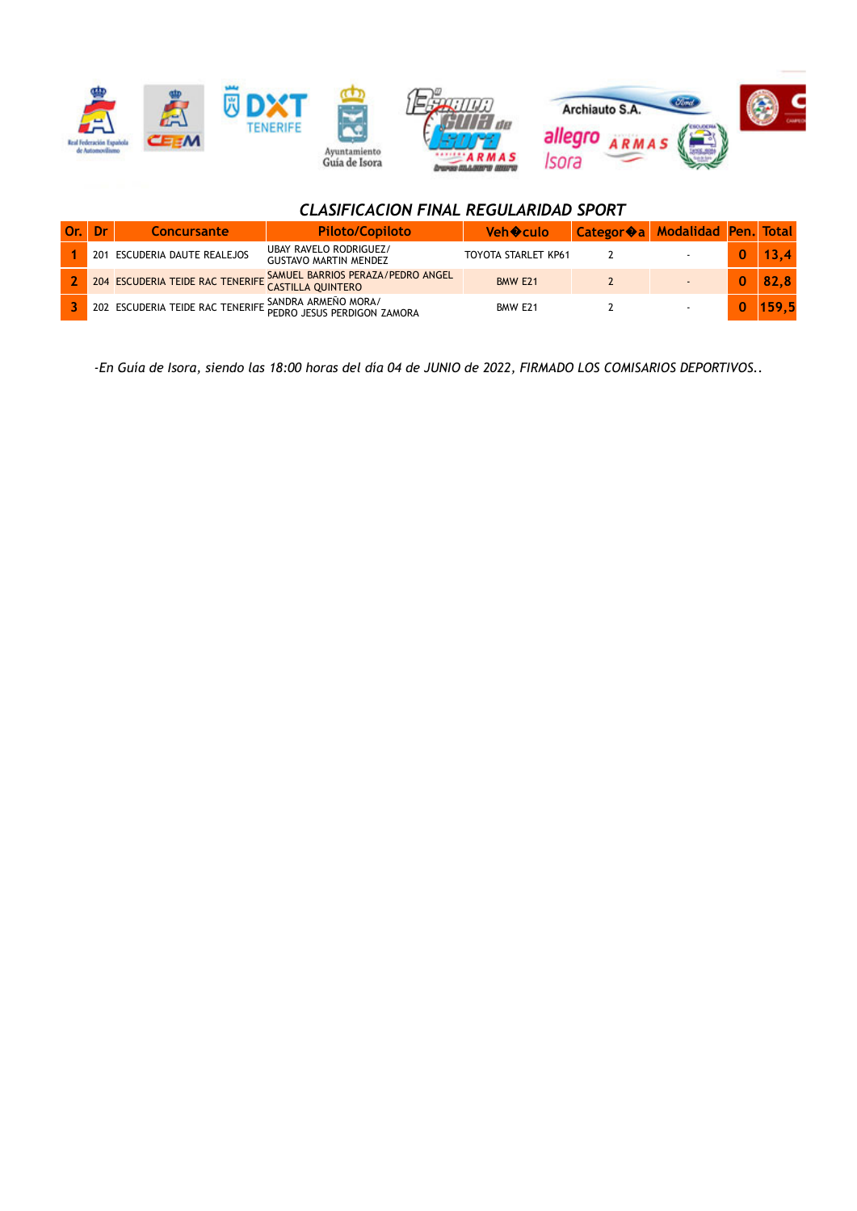

# *CLASIFICACION FINAL REGULARIDAD SPORT*

| /Dr | <b>Concursante</b>           | <b>Piloto/Copiloto</b>                                             | Veh <sup>•</sup> culo | Categor a Modalidad Pen. Total |   |       |
|-----|------------------------------|--------------------------------------------------------------------|-----------------------|--------------------------------|---|-------|
|     | 201 ESCUDERIA DAUTE REALEJOS | UBAY RAVELO RODRIGUEZ/<br><b>GUSTAVO MARTIN MENDEZ</b>             | TOYOTA STARLET KP61   |                                | 0 |       |
|     |                              | 204 ESCUDERIA TEIDE RAC TENERIFE SAMUEL BARRIOS PERAZA/PEDRO ANGEL | BMW E21               |                                |   | 82.8  |
|     |                              | 202 ESCUDERIA TEIDE RAC TENERIFE SANDRA ARMEÑO MORA/               | BMW E21               |                                |   | 159.5 |

*-En Guía de Isora, siendo las 18:00 horas del día 04 de JUNIO de 2022, FIRMADO LOS COMISARIOS DEPORTIVOS..*